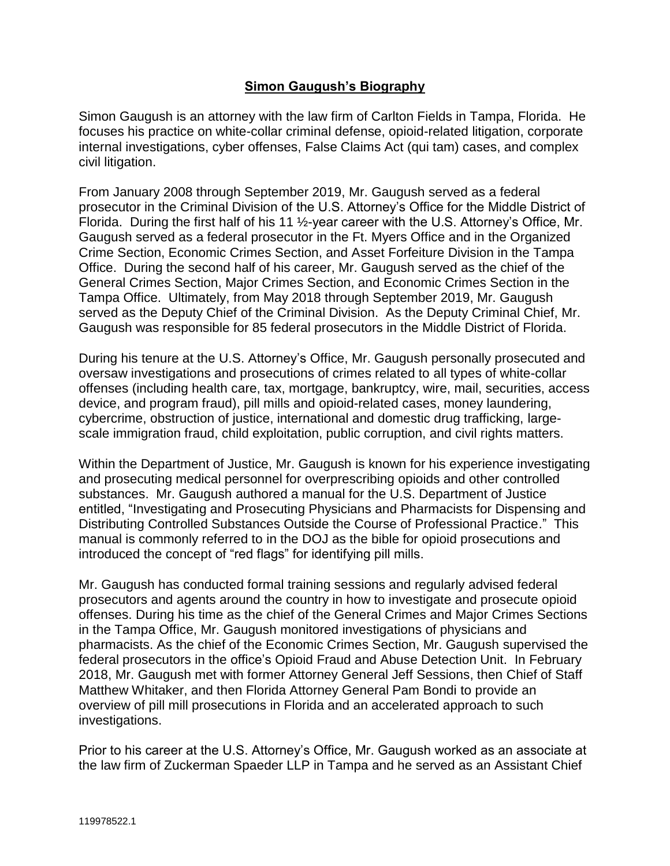## **Simon Gaugush's Biography**

Simon Gaugush is an attorney with the law firm of Carlton Fields in Tampa, Florida. He focuses his practice on white-collar criminal defense, opioid-related litigation, corporate internal investigations, cyber offenses, False Claims Act (qui tam) cases, and complex civil litigation.

From January 2008 through September 2019, Mr. Gaugush served as a federal prosecutor in the Criminal Division of the U.S. Attorney's Office for the Middle District of Florida. During the first half of his 11 ½-year career with the U.S. Attorney's Office, Mr. Gaugush served as a federal prosecutor in the Ft. Myers Office and in the Organized Crime Section, Economic Crimes Section, and Asset Forfeiture Division in the Tampa Office. During the second half of his career, Mr. Gaugush served as the chief of the General Crimes Section, Major Crimes Section, and Economic Crimes Section in the Tampa Office. Ultimately, from May 2018 through September 2019, Mr. Gaugush served as the Deputy Chief of the Criminal Division. As the Deputy Criminal Chief, Mr. Gaugush was responsible for 85 federal prosecutors in the Middle District of Florida.

During his tenure at the U.S. Attorney's Office, Mr. Gaugush personally prosecuted and oversaw investigations and prosecutions of crimes related to all types of white-collar offenses (including health care, tax, mortgage, bankruptcy, wire, mail, securities, access device, and program fraud), pill mills and opioid-related cases, money laundering, cybercrime, obstruction of justice, international and domestic drug trafficking, largescale immigration fraud, child exploitation, public corruption, and civil rights matters.

Within the Department of Justice, Mr. Gaugush is known for his experience investigating and prosecuting medical personnel for overprescribing opioids and other controlled substances. Mr. Gaugush authored a manual for the U.S. Department of Justice entitled, "Investigating and Prosecuting Physicians and Pharmacists for Dispensing and Distributing Controlled Substances Outside the Course of Professional Practice." This manual is commonly referred to in the DOJ as the bible for opioid prosecutions and introduced the concept of "red flags" for identifying pill mills.

Mr. Gaugush has conducted formal training sessions and regularly advised federal prosecutors and agents around the country in how to investigate and prosecute opioid offenses. During his time as the chief of the General Crimes and Major Crimes Sections in the Tampa Office, Mr. Gaugush monitored investigations of physicians and pharmacists. As the chief of the Economic Crimes Section, Mr. Gaugush supervised the federal prosecutors in the office's Opioid Fraud and Abuse Detection Unit. In February 2018, Mr. Gaugush met with former Attorney General Jeff Sessions, then Chief of Staff Matthew Whitaker, and then Florida Attorney General Pam Bondi to provide an overview of pill mill prosecutions in Florida and an accelerated approach to such investigations.

Prior to his career at the U.S. Attorney's Office, Mr. Gaugush worked as an associate at the law firm of Zuckerman Spaeder LLP in Tampa and he served as an Assistant Chief